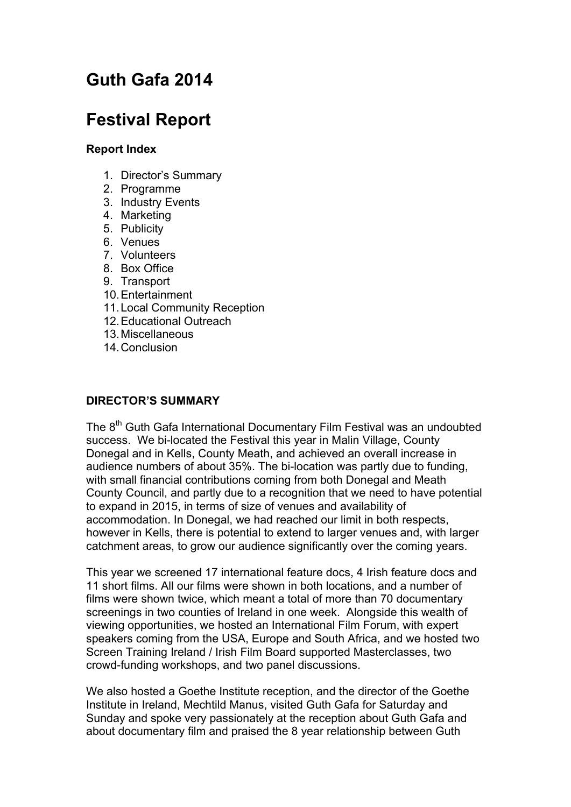# **Guth Gafa 2014**

# **Festival Report**

## **Report Index**

- 1. Director's Summary
- 2. Programme
- 3. Industry Events
- 4. Marketing
- 5. Publicity
- 6. Venues
- 7. Volunteers
- 8. Box Office
- 9. Transport
- 10.Entertainment
- 11.Local Community Reception
- 12.Educational Outreach
- 13.Miscellaneous
- 14.Conclusion

### **DIRECTOR'S SUMMARY**

The 8<sup>th</sup> Guth Gafa International Documentary Film Festival was an undoubted success. We bi-located the Festival this year in Malin Village, County Donegal and in Kells, County Meath, and achieved an overall increase in audience numbers of about 35%. The bi-location was partly due to funding, with small financial contributions coming from both Donegal and Meath County Council, and partly due to a recognition that we need to have potential to expand in 2015, in terms of size of venues and availability of accommodation. In Donegal, we had reached our limit in both respects, however in Kells, there is potential to extend to larger venues and, with larger catchment areas, to grow our audience significantly over the coming years.

This year we screened 17 international feature docs, 4 Irish feature docs and 11 short films. All our films were shown in both locations, and a number of films were shown twice, which meant a total of more than 70 documentary screenings in two counties of Ireland in one week. Alongside this wealth of viewing opportunities, we hosted an International Film Forum, with expert speakers coming from the USA, Europe and South Africa, and we hosted two Screen Training Ireland / Irish Film Board supported Masterclasses, two crowd-funding workshops, and two panel discussions.

We also hosted a Goethe Institute reception, and the director of the Goethe Institute in Ireland, Mechtild Manus, visited Guth Gafa for Saturday and Sunday and spoke very passionately at the reception about Guth Gafa and about documentary film and praised the 8 year relationship between Guth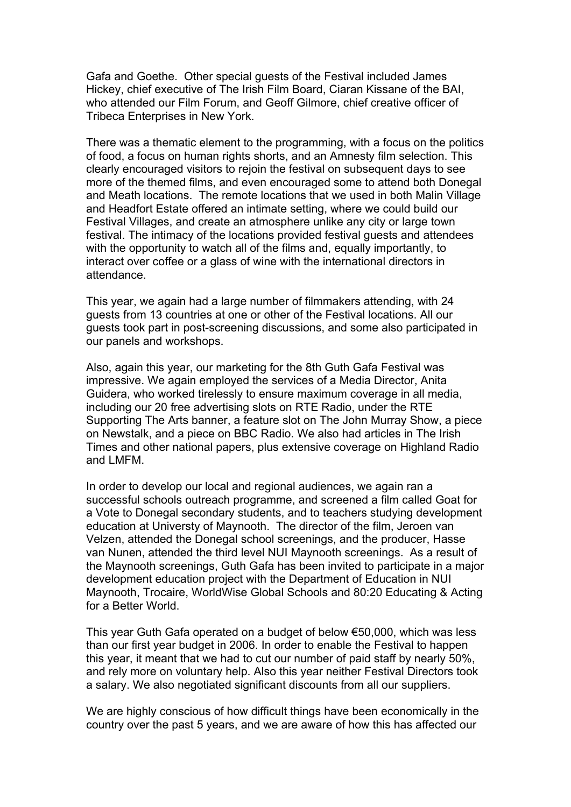Gafa and Goethe. Other special guests of the Festival included James Hickey, chief executive of The Irish Film Board, Ciaran Kissane of the BAI, who attended our Film Forum, and Geoff Gilmore, chief creative officer of Tribeca Enterprises in New York.

There was a thematic element to the programming, with a focus on the politics of food, a focus on human rights shorts, and an Amnesty film selection. This clearly encouraged visitors to rejoin the festival on subsequent days to see more of the themed films, and even encouraged some to attend both Donegal and Meath locations. The remote locations that we used in both Malin Village and Headfort Estate offered an intimate setting, where we could build our Festival Villages, and create an atmosphere unlike any city or large town festival. The intimacy of the locations provided festival guests and attendees with the opportunity to watch all of the films and, equally importantly, to interact over coffee or a glass of wine with the international directors in attendance.

This year, we again had a large number of filmmakers attending, with 24 guests from 13 countries at one or other of the Festival locations. All our guests took part in post-screening discussions, and some also participated in our panels and workshops.

Also, again this year, our marketing for the 8th Guth Gafa Festival was impressive. We again employed the services of a Media Director, Anita Guidera, who worked tirelessly to ensure maximum coverage in all media, including our 20 free advertising slots on RTE Radio, under the RTE Supporting The Arts banner, a feature slot on The John Murray Show, a piece on Newstalk, and a piece on BBC Radio. We also had articles in The Irish Times and other national papers, plus extensive coverage on Highland Radio and LMFM.

In order to develop our local and regional audiences, we again ran a successful schools outreach programme, and screened a film called Goat for a Vote to Donegal secondary students, and to teachers studying development education at Universty of Maynooth. The director of the film, Jeroen van Velzen, attended the Donegal school screenings, and the producer, Hasse van Nunen, attended the third level NUI Maynooth screenings. As a result of the Maynooth screenings, Guth Gafa has been invited to participate in a major development education project with the Department of Education in NUI Maynooth, Trocaire, WorldWise Global Schools and 80:20 Educating & Acting for a Better World.

This year Guth Gafa operated on a budget of below €50,000, which was less than our first year budget in 2006. In order to enable the Festival to happen this year, it meant that we had to cut our number of paid staff by nearly 50%, and rely more on voluntary help. Also this year neither Festival Directors took a salary. We also negotiated significant discounts from all our suppliers.

We are highly conscious of how difficult things have been economically in the country over the past 5 years, and we are aware of how this has affected our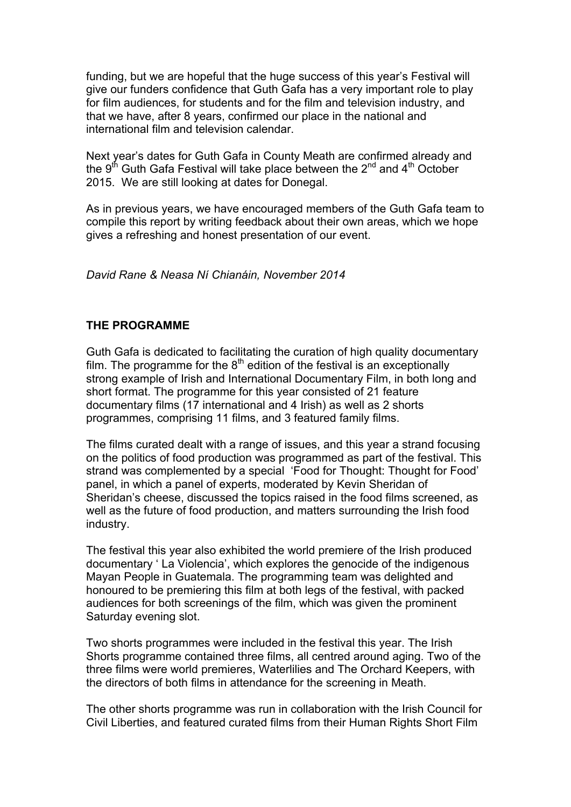funding, but we are hopeful that the huge success of this year's Festival will give our funders confidence that Guth Gafa has a very important role to play for film audiences, for students and for the film and television industry, and that we have, after 8 years, confirmed our place in the national and international film and television calendar.

Next year's dates for Guth Gafa in County Meath are confirmed already and the  $9<sup>th</sup>$  Guth Gafa Festival will take place between the  $2<sup>nd</sup>$  and  $4<sup>th</sup>$  October 2015. We are still looking at dates for Donegal.

As in previous years, we have encouraged members of the Guth Gafa team to compile this report by writing feedback about their own areas, which we hope gives a refreshing and honest presentation of our event.

*David Rane & Neasa Ní Chianáin, November 2014*

#### **THE PROGRAMME**

Guth Gafa is dedicated to facilitating the curation of high quality documentary film. The programme for the  $8<sup>th</sup>$  edition of the festival is an exceptionally strong example of Irish and International Documentary Film, in both long and short format. The programme for this year consisted of 21 feature documentary films (17 international and 4 Irish) as well as 2 shorts programmes, comprising 11 films, and 3 featured family films.

The films curated dealt with a range of issues, and this year a strand focusing on the politics of food production was programmed as part of the festival. This strand was complemented by a special 'Food for Thought: Thought for Food' panel, in which a panel of experts, moderated by Kevin Sheridan of Sheridan's cheese, discussed the topics raised in the food films screened, as well as the future of food production, and matters surrounding the Irish food industry.

The festival this year also exhibited the world premiere of the Irish produced documentary ' La Violencia', which explores the genocide of the indigenous Mayan People in Guatemala. The programming team was delighted and honoured to be premiering this film at both legs of the festival, with packed audiences for both screenings of the film, which was given the prominent Saturday evening slot.

Two shorts programmes were included in the festival this year. The Irish Shorts programme contained three films, all centred around aging. Two of the three films were world premieres, Waterlilies and The Orchard Keepers, with the directors of both films in attendance for the screening in Meath.

The other shorts programme was run in collaboration with the Irish Council for Civil Liberties, and featured curated films from their Human Rights Short Film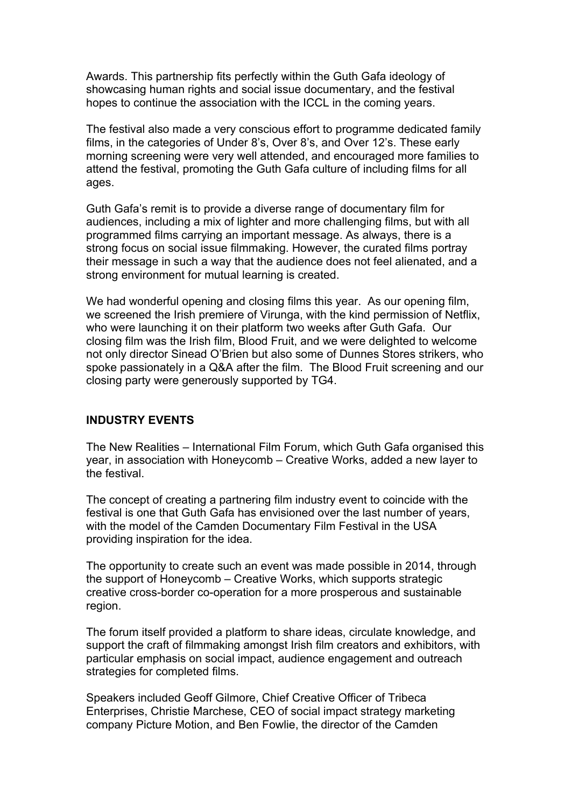Awards. This partnership fits perfectly within the Guth Gafa ideology of showcasing human rights and social issue documentary, and the festival hopes to continue the association with the ICCL in the coming years.

The festival also made a very conscious effort to programme dedicated family films, in the categories of Under 8's, Over 8's, and Over 12's. These early morning screening were very well attended, and encouraged more families to attend the festival, promoting the Guth Gafa culture of including films for all ages.

Guth Gafa's remit is to provide a diverse range of documentary film for audiences, including a mix of lighter and more challenging films, but with all programmed films carrying an important message. As always, there is a strong focus on social issue filmmaking. However, the curated films portray their message in such a way that the audience does not feel alienated, and a strong environment for mutual learning is created.

We had wonderful opening and closing films this year. As our opening film, we screened the Irish premiere of Virunga, with the kind permission of Netflix, who were launching it on their platform two weeks after Guth Gafa. Our closing film was the Irish film, Blood Fruit, and we were delighted to welcome not only director Sinead O'Brien but also some of Dunnes Stores strikers, who spoke passionately in a Q&A after the film. The Blood Fruit screening and our closing party were generously supported by TG4.

#### **INDUSTRY EVENTS**

The New Realities – International Film Forum, which Guth Gafa organised this year, in association with Honeycomb – Creative Works, added a new layer to the festival.

The concept of creating a partnering film industry event to coincide with the festival is one that Guth Gafa has envisioned over the last number of years, with the model of the Camden Documentary Film Festival in the USA providing inspiration for the idea.

The opportunity to create such an event was made possible in 2014, through the support of Honeycomb – Creative Works, which supports strategic creative cross-border co-operation for a more prosperous and sustainable region.

The forum itself provided a platform to share ideas, circulate knowledge, and support the craft of filmmaking amongst Irish film creators and exhibitors, with particular emphasis on social impact, audience engagement and outreach strategies for completed films.

Speakers included Geoff Gilmore, Chief Creative Officer of Tribeca Enterprises, Christie Marchese, CEO of social impact strategy marketing company Picture Motion, and Ben Fowlie, the director of the Camden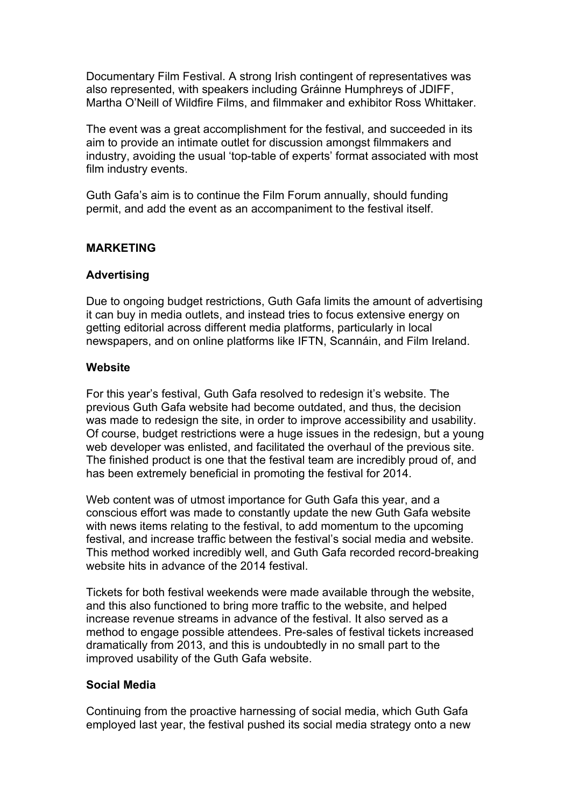Documentary Film Festival. A strong Irish contingent of representatives was also represented, with speakers including Gráinne Humphreys of JDIFF, Martha O'Neill of Wildfire Films, and filmmaker and exhibitor Ross Whittaker.

The event was a great accomplishment for the festival, and succeeded in its aim to provide an intimate outlet for discussion amongst filmmakers and industry, avoiding the usual 'top-table of experts' format associated with most film industry events.

Guth Gafa's aim is to continue the Film Forum annually, should funding permit, and add the event as an accompaniment to the festival itself.

## **MARKETING**

#### **Advertising**

Due to ongoing budget restrictions, Guth Gafa limits the amount of advertising it can buy in media outlets, and instead tries to focus extensive energy on getting editorial across different media platforms, particularly in local newspapers, and on online platforms like IFTN, Scannáin, and Film Ireland.

#### **Website**

For this year's festival, Guth Gafa resolved to redesign it's website. The previous Guth Gafa website had become outdated, and thus, the decision was made to redesign the site, in order to improve accessibility and usability. Of course, budget restrictions were a huge issues in the redesign, but a young web developer was enlisted, and facilitated the overhaul of the previous site. The finished product is one that the festival team are incredibly proud of, and has been extremely beneficial in promoting the festival for 2014.

Web content was of utmost importance for Guth Gafa this year, and a conscious effort was made to constantly update the new Guth Gafa website with news items relating to the festival, to add momentum to the upcoming festival, and increase traffic between the festival's social media and website. This method worked incredibly well, and Guth Gafa recorded record-breaking website hits in advance of the 2014 festival.

Tickets for both festival weekends were made available through the website, and this also functioned to bring more traffic to the website, and helped increase revenue streams in advance of the festival. It also served as a method to engage possible attendees. Pre-sales of festival tickets increased dramatically from 2013, and this is undoubtedly in no small part to the improved usability of the Guth Gafa website.

#### **Social Media**

Continuing from the proactive harnessing of social media, which Guth Gafa employed last year, the festival pushed its social media strategy onto a new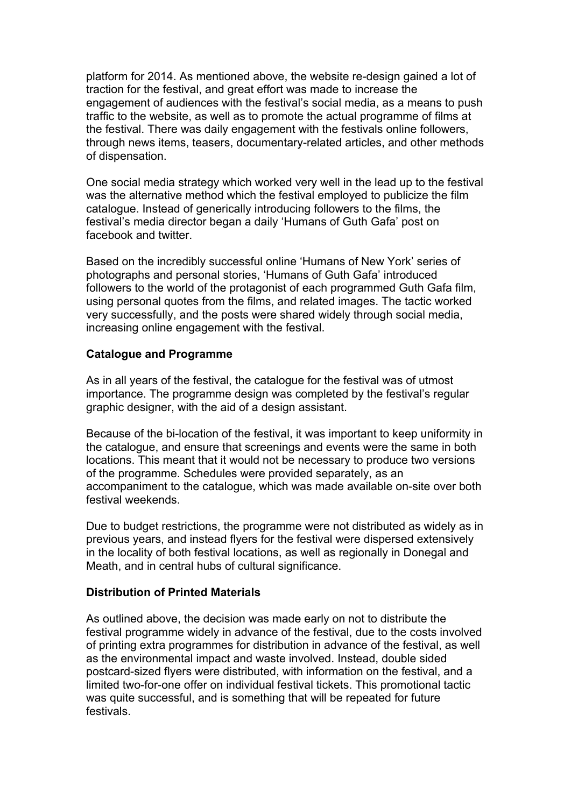platform for 2014. As mentioned above, the website re-design gained a lot of traction for the festival, and great effort was made to increase the engagement of audiences with the festival's social media, as a means to push traffic to the website, as well as to promote the actual programme of films at the festival. There was daily engagement with the festivals online followers, through news items, teasers, documentary-related articles, and other methods of dispensation.

One social media strategy which worked very well in the lead up to the festival was the alternative method which the festival employed to publicize the film catalogue. Instead of generically introducing followers to the films, the festival's media director began a daily 'Humans of Guth Gafa' post on facebook and twitter.

Based on the incredibly successful online 'Humans of New York' series of photographs and personal stories, 'Humans of Guth Gafa' introduced followers to the world of the protagonist of each programmed Guth Gafa film, using personal quotes from the films, and related images. The tactic worked very successfully, and the posts were shared widely through social media, increasing online engagement with the festival.

#### **Catalogue and Programme**

As in all years of the festival, the catalogue for the festival was of utmost importance. The programme design was completed by the festival's regular graphic designer, with the aid of a design assistant.

Because of the bi-location of the festival, it was important to keep uniformity in the catalogue, and ensure that screenings and events were the same in both locations. This meant that it would not be necessary to produce two versions of the programme. Schedules were provided separately, as an accompaniment to the catalogue, which was made available on-site over both festival weekends.

Due to budget restrictions, the programme were not distributed as widely as in previous years, and instead flyers for the festival were dispersed extensively in the locality of both festival locations, as well as regionally in Donegal and Meath, and in central hubs of cultural significance.

#### **Distribution of Printed Materials**

As outlined above, the decision was made early on not to distribute the festival programme widely in advance of the festival, due to the costs involved of printing extra programmes for distribution in advance of the festival, as well as the environmental impact and waste involved. Instead, double sided postcard-sized flyers were distributed, with information on the festival, and a limited two-for-one offer on individual festival tickets. This promotional tactic was quite successful, and is something that will be repeated for future festivals.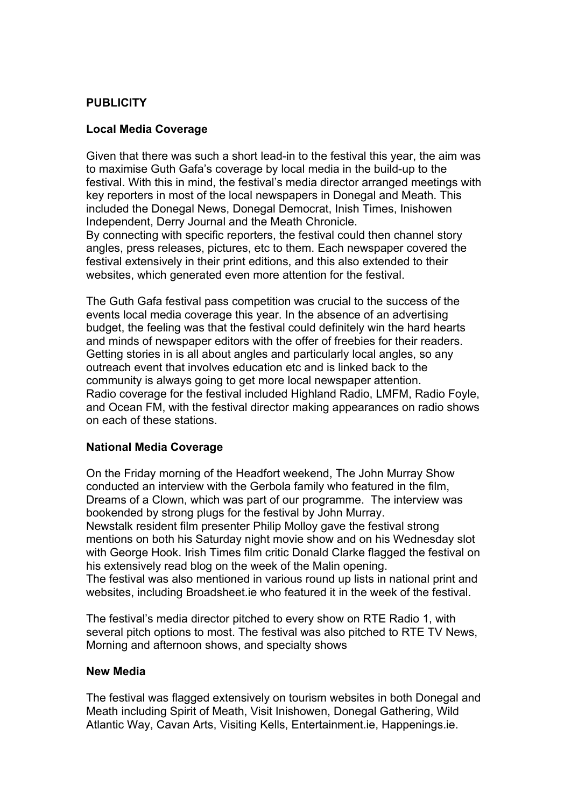## **PUBLICITY**

#### **Local Media Coverage**

Given that there was such a short lead-in to the festival this year, the aim was to maximise Guth Gafa's coverage by local media in the build-up to the festival. With this in mind, the festival's media director arranged meetings with key reporters in most of the local newspapers in Donegal and Meath. This included the Donegal News, Donegal Democrat, Inish Times, Inishowen Independent, Derry Journal and the Meath Chronicle. By connecting with specific reporters, the festival could then channel story angles, press releases, pictures, etc to them. Each newspaper covered the festival extensively in their print editions, and this also extended to their websites, which generated even more attention for the festival.

The Guth Gafa festival pass competition was crucial to the success of the events local media coverage this year. In the absence of an advertising budget, the feeling was that the festival could definitely win the hard hearts and minds of newspaper editors with the offer of freebies for their readers. Getting stories in is all about angles and particularly local angles, so any outreach event that involves education etc and is linked back to the community is always going to get more local newspaper attention. Radio coverage for the festival included Highland Radio, LMFM, Radio Foyle, and Ocean FM, with the festival director making appearances on radio shows on each of these stations.

#### **National Media Coverage**

On the Friday morning of the Headfort weekend, The John Murray Show conducted an interview with the Gerbola family who featured in the film, Dreams of a Clown, which was part of our programme. The interview was bookended by strong plugs for the festival by John Murray. Newstalk resident film presenter Philip Molloy gave the festival strong mentions on both his Saturday night movie show and on his Wednesday slot with George Hook. Irish Times film critic Donald Clarke flagged the festival on his extensively read blog on the week of the Malin opening.

The festival was also mentioned in various round up lists in national print and websites, including Broadsheet.ie who featured it in the week of the festival.

The festival's media director pitched to every show on RTE Radio 1, with several pitch options to most. The festival was also pitched to RTE TV News, Morning and afternoon shows, and specialty shows

#### **New Media**

The festival was flagged extensively on tourism websites in both Donegal and Meath including Spirit of Meath, Visit Inishowen, Donegal Gathering, Wild Atlantic Way, Cavan Arts, Visiting Kells, Entertainment.ie, Happenings.ie.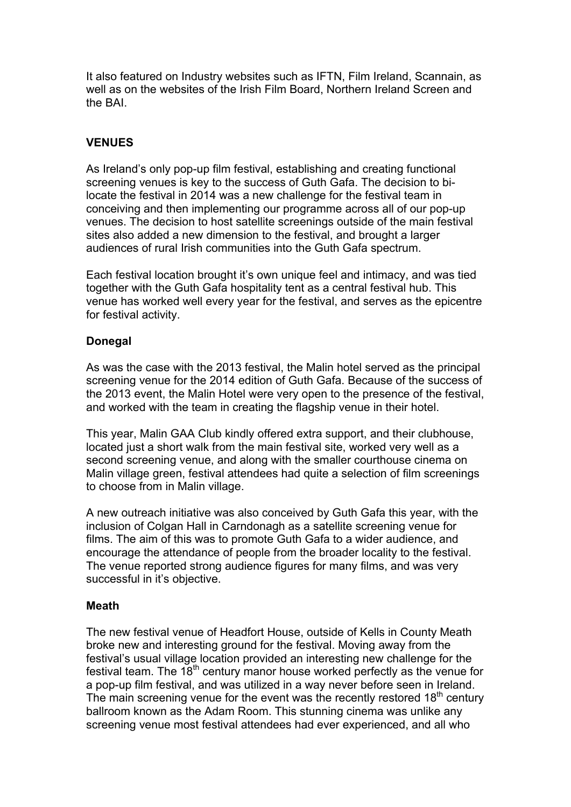It also featured on Industry websites such as IFTN, Film Ireland, Scannain, as well as on the websites of the Irish Film Board, Northern Ireland Screen and the BAI.

## **VENUES**

As Ireland's only pop-up film festival, establishing and creating functional screening venues is key to the success of Guth Gafa. The decision to bilocate the festival in 2014 was a new challenge for the festival team in conceiving and then implementing our programme across all of our pop-up venues. The decision to host satellite screenings outside of the main festival sites also added a new dimension to the festival, and brought a larger audiences of rural Irish communities into the Guth Gafa spectrum.

Each festival location brought it's own unique feel and intimacy, and was tied together with the Guth Gafa hospitality tent as a central festival hub. This venue has worked well every year for the festival, and serves as the epicentre for festival activity.

#### **Donegal**

As was the case with the 2013 festival, the Malin hotel served as the principal screening venue for the 2014 edition of Guth Gafa. Because of the success of the 2013 event, the Malin Hotel were very open to the presence of the festival, and worked with the team in creating the flagship venue in their hotel.

This year, Malin GAA Club kindly offered extra support, and their clubhouse, located just a short walk from the main festival site, worked very well as a second screening venue, and along with the smaller courthouse cinema on Malin village green, festival attendees had quite a selection of film screenings to choose from in Malin village.

A new outreach initiative was also conceived by Guth Gafa this year, with the inclusion of Colgan Hall in Carndonagh as a satellite screening venue for films. The aim of this was to promote Guth Gafa to a wider audience, and encourage the attendance of people from the broader locality to the festival. The venue reported strong audience figures for many films, and was very successful in it's objective.

#### **Meath**

The new festival venue of Headfort House, outside of Kells in County Meath broke new and interesting ground for the festival. Moving away from the festival's usual village location provided an interesting new challenge for the festival team. The  $18<sup>th</sup>$  century manor house worked perfectly as the venue for a pop-up film festival, and was utilized in a way never before seen in Ireland. The main screening venue for the event was the recently restored 18<sup>th</sup> century ballroom known as the Adam Room. This stunning cinema was unlike any screening venue most festival attendees had ever experienced, and all who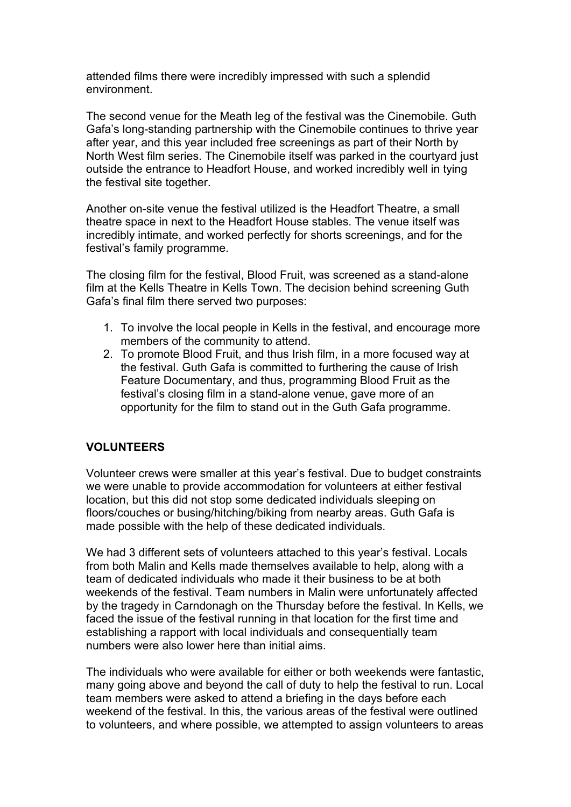attended films there were incredibly impressed with such a splendid environment.

The second venue for the Meath leg of the festival was the Cinemobile. Guth Gafa's long-standing partnership with the Cinemobile continues to thrive year after year, and this year included free screenings as part of their North by North West film series. The Cinemobile itself was parked in the courtyard just outside the entrance to Headfort House, and worked incredibly well in tying the festival site together.

Another on-site venue the festival utilized is the Headfort Theatre, a small theatre space in next to the Headfort House stables. The venue itself was incredibly intimate, and worked perfectly for shorts screenings, and for the festival's family programme.

The closing film for the festival, Blood Fruit, was screened as a stand-alone film at the Kells Theatre in Kells Town. The decision behind screening Guth Gafa's final film there served two purposes:

- 1. To involve the local people in Kells in the festival, and encourage more members of the community to attend.
- 2. To promote Blood Fruit, and thus Irish film, in a more focused way at the festival. Guth Gafa is committed to furthering the cause of Irish Feature Documentary, and thus, programming Blood Fruit as the festival's closing film in a stand-alone venue, gave more of an opportunity for the film to stand out in the Guth Gafa programme.

#### **VOLUNTEERS**

Volunteer crews were smaller at this year's festival. Due to budget constraints we were unable to provide accommodation for volunteers at either festival location, but this did not stop some dedicated individuals sleeping on floors/couches or busing/hitching/biking from nearby areas. Guth Gafa is made possible with the help of these dedicated individuals.

We had 3 different sets of volunteers attached to this year's festival. Locals from both Malin and Kells made themselves available to help, along with a team of dedicated individuals who made it their business to be at both weekends of the festival. Team numbers in Malin were unfortunately affected by the tragedy in Carndonagh on the Thursday before the festival. In Kells, we faced the issue of the festival running in that location for the first time and establishing a rapport with local individuals and consequentially team numbers were also lower here than initial aims.

The individuals who were available for either or both weekends were fantastic, many going above and beyond the call of duty to help the festival to run. Local team members were asked to attend a briefing in the days before each weekend of the festival. In this, the various areas of the festival were outlined to volunteers, and where possible, we attempted to assign volunteers to areas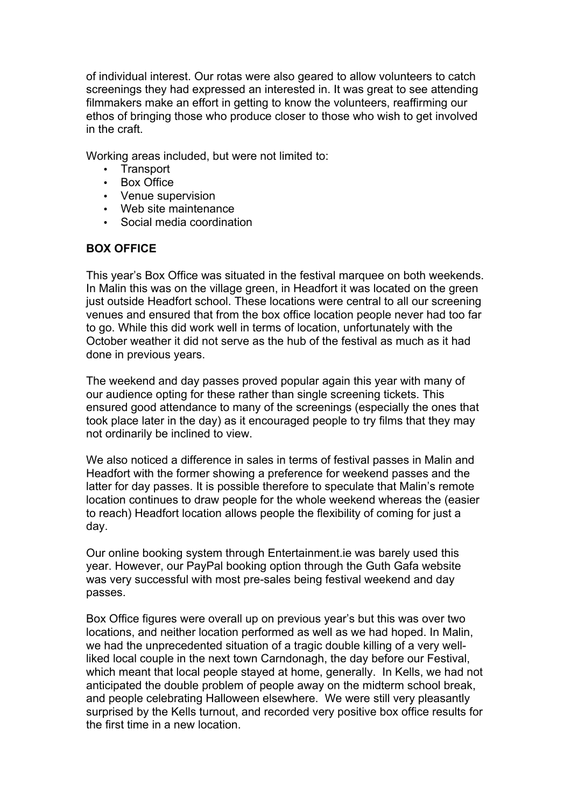of individual interest. Our rotas were also geared to allow volunteers to catch screenings they had expressed an interested in. It was great to see attending filmmakers make an effort in getting to know the volunteers, reaffirming our ethos of bringing those who produce closer to those who wish to get involved in the craft.

Working areas included, but were not limited to:

- Transport
- Box Office
- Venue supervision
- Web site maintenance
- Social media coordination

## **BOX OFFICE**

This year's Box Office was situated in the festival marquee on both weekends. In Malin this was on the village green, in Headfort it was located on the green just outside Headfort school. These locations were central to all our screening venues and ensured that from the box office location people never had too far to go. While this did work well in terms of location, unfortunately with the October weather it did not serve as the hub of the festival as much as it had done in previous years.

The weekend and day passes proved popular again this year with many of our audience opting for these rather than single screening tickets. This ensured good attendance to many of the screenings (especially the ones that took place later in the day) as it encouraged people to try films that they may not ordinarily be inclined to view.

We also noticed a difference in sales in terms of festival passes in Malin and Headfort with the former showing a preference for weekend passes and the latter for day passes. It is possible therefore to speculate that Malin's remote location continues to draw people for the whole weekend whereas the (easier to reach) Headfort location allows people the flexibility of coming for just a day.

Our online booking system through Entertainment.ie was barely used this year. However, our PayPal booking option through the Guth Gafa website was very successful with most pre-sales being festival weekend and day passes.

Box Office figures were overall up on previous year's but this was over two locations, and neither location performed as well as we had hoped. In Malin, we had the unprecedented situation of a tragic double killing of a very wellliked local couple in the next town Carndonagh, the day before our Festival, which meant that local people stayed at home, generally. In Kells, we had not anticipated the double problem of people away on the midterm school break, and people celebrating Halloween elsewhere. We were still very pleasantly surprised by the Kells turnout, and recorded very positive box office results for the first time in a new location.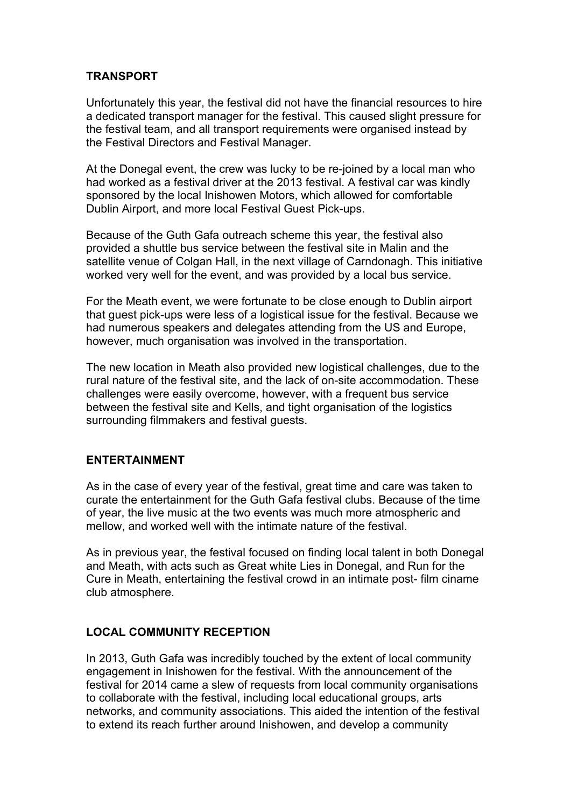## **TRANSPORT**

Unfortunately this year, the festival did not have the financial resources to hire a dedicated transport manager for the festival. This caused slight pressure for the festival team, and all transport requirements were organised instead by the Festival Directors and Festival Manager.

At the Donegal event, the crew was lucky to be re-joined by a local man who had worked as a festival driver at the 2013 festival. A festival car was kindly sponsored by the local Inishowen Motors, which allowed for comfortable Dublin Airport, and more local Festival Guest Pick-ups.

Because of the Guth Gafa outreach scheme this year, the festival also provided a shuttle bus service between the festival site in Malin and the satellite venue of Colgan Hall, in the next village of Carndonagh. This initiative worked very well for the event, and was provided by a local bus service.

For the Meath event, we were fortunate to be close enough to Dublin airport that guest pick-ups were less of a logistical issue for the festival. Because we had numerous speakers and delegates attending from the US and Europe, however, much organisation was involved in the transportation.

The new location in Meath also provided new logistical challenges, due to the rural nature of the festival site, and the lack of on-site accommodation. These challenges were easily overcome, however, with a frequent bus service between the festival site and Kells, and tight organisation of the logistics surrounding filmmakers and festival guests.

#### **ENTERTAINMENT**

As in the case of every year of the festival, great time and care was taken to curate the entertainment for the Guth Gafa festival clubs. Because of the time of year, the live music at the two events was much more atmospheric and mellow, and worked well with the intimate nature of the festival.

As in previous year, the festival focused on finding local talent in both Donegal and Meath, with acts such as Great white Lies in Donegal, and Run for the Cure in Meath, entertaining the festival crowd in an intimate post- film ciname club atmosphere.

## **LOCAL COMMUNITY RECEPTION**

In 2013, Guth Gafa was incredibly touched by the extent of local community engagement in Inishowen for the festival. With the announcement of the festival for 2014 came a slew of requests from local community organisations to collaborate with the festival, including local educational groups, arts networks, and community associations. This aided the intention of the festival to extend its reach further around Inishowen, and develop a community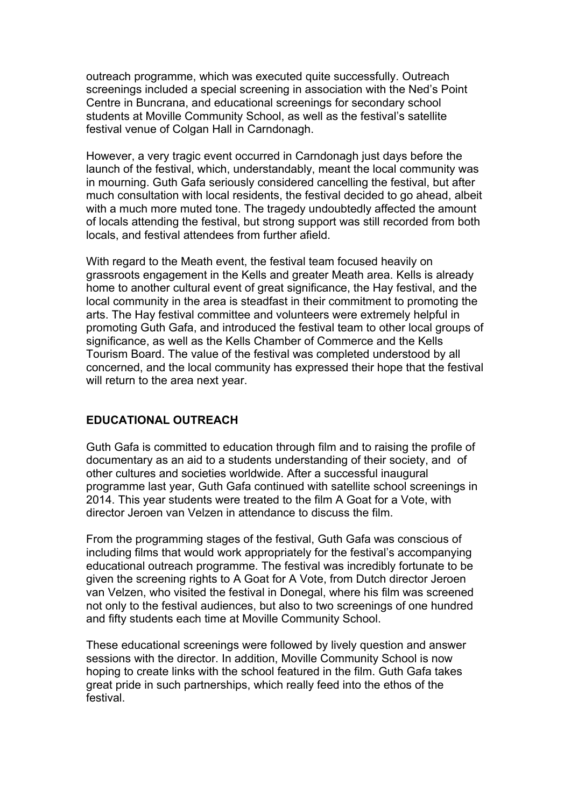outreach programme, which was executed quite successfully. Outreach screenings included a special screening in association with the Ned's Point Centre in Buncrana, and educational screenings for secondary school students at Moville Community School, as well as the festival's satellite festival venue of Colgan Hall in Carndonagh.

However, a very tragic event occurred in Carndonagh just days before the launch of the festival, which, understandably, meant the local community was in mourning. Guth Gafa seriously considered cancelling the festival, but after much consultation with local residents, the festival decided to go ahead, albeit with a much more muted tone. The tragedy undoubtedly affected the amount of locals attending the festival, but strong support was still recorded from both locals, and festival attendees from further afield.

With regard to the Meath event, the festival team focused heavily on grassroots engagement in the Kells and greater Meath area. Kells is already home to another cultural event of great significance, the Hay festival, and the local community in the area is steadfast in their commitment to promoting the arts. The Hay festival committee and volunteers were extremely helpful in promoting Guth Gafa, and introduced the festival team to other local groups of significance, as well as the Kells Chamber of Commerce and the Kells Tourism Board. The value of the festival was completed understood by all concerned, and the local community has expressed their hope that the festival will return to the area next year.

#### **EDUCATIONAL OUTREACH**

Guth Gafa is committed to education through film and to raising the profile of documentary as an aid to a students understanding of their society, and of other cultures and societies worldwide. After a successful inaugural programme last year, Guth Gafa continued with satellite school screenings in 2014. This year students were treated to the film A Goat for a Vote, with director Jeroen van Velzen in attendance to discuss the film.

From the programming stages of the festival, Guth Gafa was conscious of including films that would work appropriately for the festival's accompanying educational outreach programme. The festival was incredibly fortunate to be given the screening rights to A Goat for A Vote, from Dutch director Jeroen van Velzen, who visited the festival in Donegal, where his film was screened not only to the festival audiences, but also to two screenings of one hundred and fifty students each time at Moville Community School.

These educational screenings were followed by lively question and answer sessions with the director. In addition, Moville Community School is now hoping to create links with the school featured in the film. Guth Gafa takes great pride in such partnerships, which really feed into the ethos of the festival.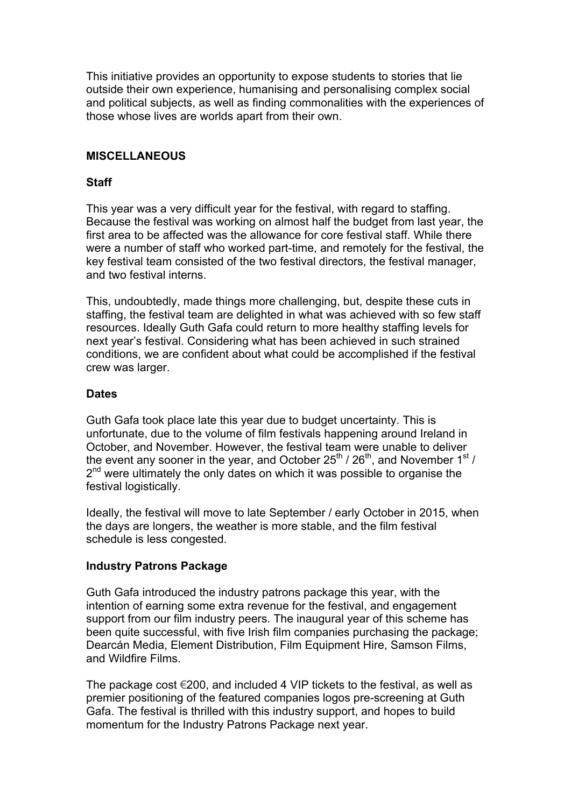This initiative provides an opportunity to expose students to stories that lie outside their own experience, humanising and personalising complex social and political subjects, as well as finding commonalities with the experiences of those whose lives are worlds apart from their own.

### **MISCELLANEOUS**

### **Staff**

This year was a very difficult year for the festival, with regard to staffing. Because the festival was working on almost half the budget from last year, the first area to be affected was the allowance for core festival staff. While there were a number of staff who worked part-time, and remotely for the festival, the key festival team consisted of the two festival directors, the festival manager, and two festival interns.

This, undoubtedly, made things more challenging, but, despite these cuts in staffing, the festival team are delighted in what was achieved with so few staff resources. Ideally Guth Gafa could return to more healthy staffing levels for next year's festival. Considering what has been achieved in such strained conditions, we are confident about what could be accomplished if the festival crew was larger.

## **Dates**

Guth Gafa took place late this year due to budget uncertainty. This is unfortunate, due to the volume of film festivals happening around Ireland in October, and November. However, the festival team were unable to deliver the event any sooner in the year, and October  $25^{th}$  /  $26^{th}$ , and November 1st /  $2<sup>nd</sup>$  were ultimately the only dates on which it was possible to organise the festival logistically.

Ideally, the festival will move to late September / early October in 2015, when the days are longers, the weather is more stable, and the film festival schedule is less congested.

## **Industry Patrons Package**

Guth Gafa introduced the industry patrons package this year, with the intention of earning some extra revenue for the festival, and engagement support from our film industry peers. The inaugural year of this scheme has been quite successful, with five Irish film companies purchasing the package; Dearcán Media, Element Distribution, Film Equipment Hire, Samson Films, and Wildfire Films.

The package cost  $\epsilon$ 200, and included 4 VIP tickets to the festival, as well as premier positioning of the featured companies logos pre-screening at Guth Gafa. The festival is thrilled with this industry support, and hopes to build momentum for the Industry Patrons Package next year.